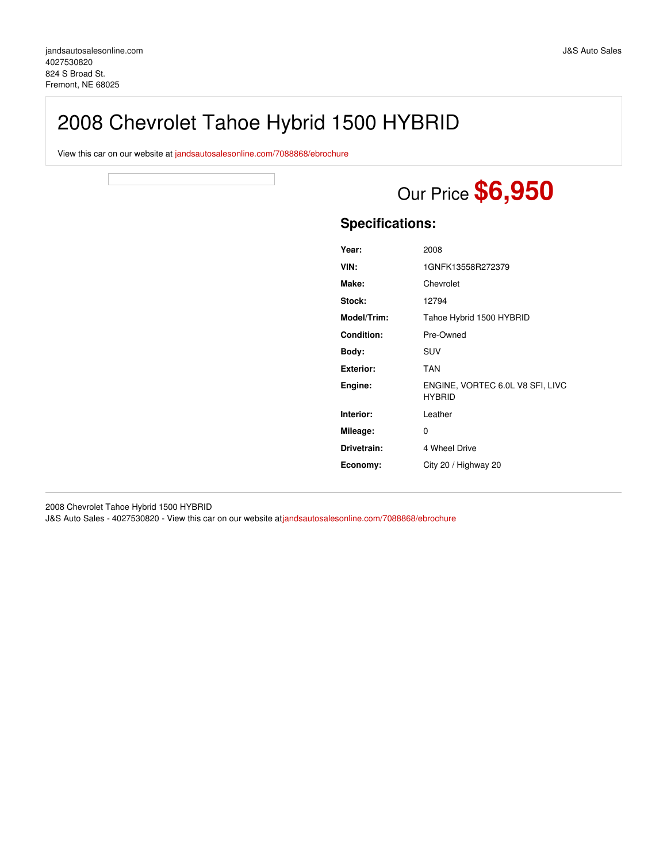# 2008 Chevrolet Tahoe Hybrid 1500 HYBRID

View this car on our website at [jandsautosalesonline.com/7088868/ebrochure](https://jandsautosalesonline.com/vehicle/7088868/2008-chevrolet-tahoe-hybrid-1500-hybrid-fremont-ne-68025/7088868/ebrochure)



## **Specifications:**

| Year:            | 2008                                              |
|------------------|---------------------------------------------------|
| VIN:             | 1GNFK13558R272379                                 |
| Make:            | Chevrolet                                         |
| Stock:           | 12794                                             |
| Model/Trim:      | Tahoe Hybrid 1500 HYBRID                          |
| Condition:       | Pre-Owned                                         |
| Body:            | <b>SUV</b>                                        |
| <b>Exterior:</b> | <b>TAN</b>                                        |
| Engine:          | ENGINE, VORTEC 6.0L V8 SFI, LIVC<br><b>HYBRID</b> |
| Interior:        | Leather                                           |
| Mileage:         | 0                                                 |
| Drivetrain:      | 4 Wheel Drive                                     |
| Economy:         | City 20 / Highway 20                              |
|                  |                                                   |

2008 Chevrolet Tahoe Hybrid 1500 HYBRID J&S Auto Sales - 4027530820 - View this car on our website at[jandsautosalesonline.com/7088868/ebrochure](https://jandsautosalesonline.com/vehicle/7088868/2008-chevrolet-tahoe-hybrid-1500-hybrid-fremont-ne-68025/7088868/ebrochure)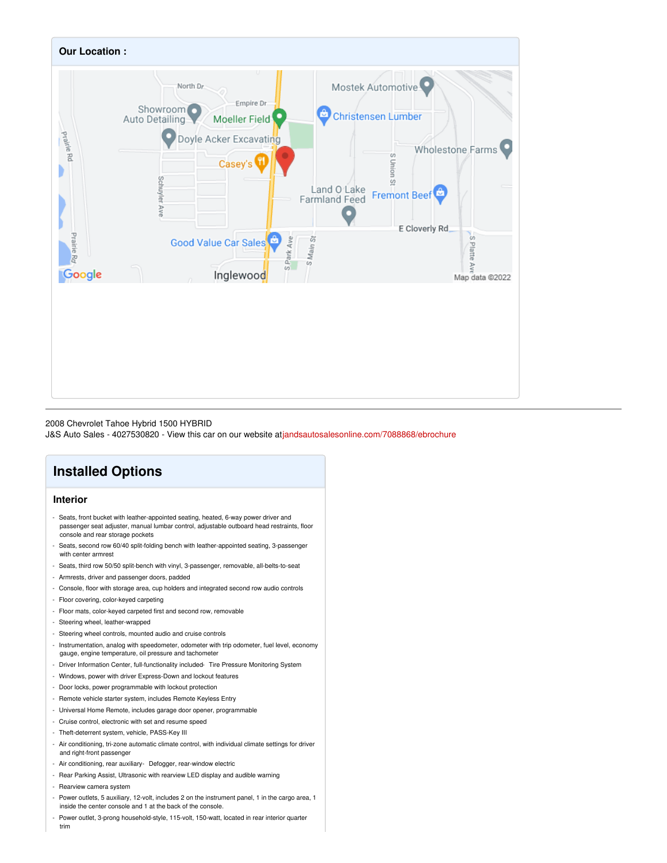

#### 2008 Chevrolet Tahoe Hybrid 1500 HYBRID

J&S Auto Sales - 4027530820 - View this car on our website at[jandsautosalesonline.com/7088868/ebrochure](https://jandsautosalesonline.com/vehicle/7088868/2008-chevrolet-tahoe-hybrid-1500-hybrid-fremont-ne-68025/7088868/ebrochure)

# **Installed Options**

## **Interior**

- Seats, front bucket with leather-appointed seating, heated, 6-way power driver and passenger seat adjuster, manual lumbar control, adjustable outboard head restraints, floor console and rear storage pockets
- Seats, second row 60/40 split-folding bench with leather-appointed seating, 3-passenger with center armrest
- Seats, third row 50/50 split-bench with vinyl, 3-passenger, removable, all-belts-to-seat
- Armrests, driver and passenger doors, padded
- Console, floor with storage area, cup holders and integrated second row audio controls
- Floor covering, color-keyed carpeting
- Floor mats, color-keyed carpeted first and second row, removable
- Steering wheel, leather-wrapped
- Steering wheel controls, mounted audio and cruise controls
- Instrumentation, analog with speedometer, odometer with trip odometer, fuel level, economy gauge, engine temperature, oil pressure and tachometer
- Driver Information Center, full-functionality included- Tire Pressure Monitoring System
- Windows, power with driver Express-Down and lockout features
- Door locks, power programmable with lockout protection
- Remote vehicle starter system, includes Remote Keyless Entry
- Universal Home Remote, includes garage door opener, programmable
- Cruise control, electronic with set and resume speed
- Theft-deterrent system, vehicle, PASS-Key III
- Air conditioning, tri-zone automatic climate control, with individual climate settings for driver and right-front passenger
- Air conditioning, rear auxiliary- Defogger, rear-window electric
- Rear Parking Assist, Ultrasonic with rearview LED display and audible warning
- Rearview camera system
- Power outlets, 5 auxiliary, 12-volt, includes 2 on the instrument panel, 1 in the cargo area, 1 inside the center console and 1 at the back of the console.
- Power outlet, 3-prong household-style, 115-volt, 150-watt, located in rear interior quarter trim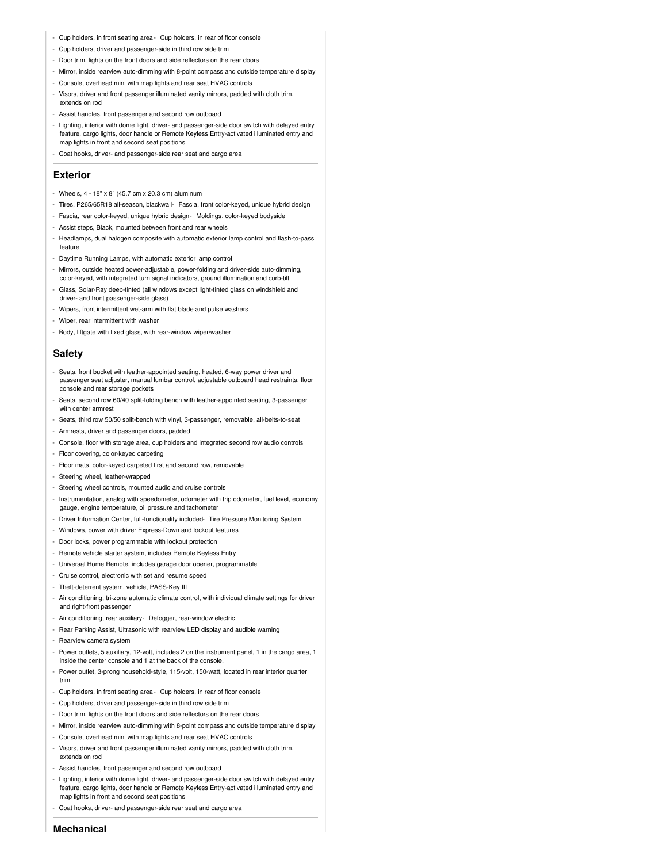- Cup holders, in front seating area- Cup holders, in rear of floor console
- Cup holders, driver and passenger-side in third row side trim
- Door trim, lights on the front doors and side reflectors on the rear doors
- Mirror, inside rearview auto-dimming with 8-point compass and outside temperature display
- Console, overhead mini with map lights and rear seat HVAC controls
- Visors, driver and front passenger illuminated vanity mirrors, padded with cloth trim, extends on rod
- Assist handles, front passenger and second row outboard
- Lighting, interior with dome light, driver- and passenger-side door switch with delayed entry feature, cargo lights, door handle or Remote Keyless Entry-activated illuminated entry and map lights in front and second seat positions
- Coat hooks, driver- and passenger-side rear seat and cargo area

#### **Exterior**

- Wheels, 4 18" x 8" (45.7 cm x 20.3 cm) aluminum
- Tires, P265/65R18 all-season, blackwall- Fascia, front color-keyed, unique hybrid design
- Fascia, rear color-keyed, unique hybrid design- Moldings, color-keyed bodyside
- Assist steps, Black, mounted between front and rear wheels
- Headlamps, dual halogen composite with automatic exterior lamp control and flash-to-pass feature
- Daytime Running Lamps, with automatic exterior lamp control
- Mirrors, outside heated power-adjustable, power-folding and driver-side auto-dimming, color-keyed, with integrated turn signal indicators, ground illumination and curb-tilt
- Glass, Solar-Ray deep-tinted (all windows except light-tinted glass on windshield and driver- and front passenger-side glass)
- Wipers, front intermittent wet-arm with flat blade and pulse washers
- Wiper, rear intermittent with washer
- Body, liftgate with fixed glass, with rear-window wiper/washer

### **Safety**

- Seats, front bucket with leather-appointed seating, heated, 6-way power driver and passenger seat adjuster, manual lumbar control, adjustable outboard head restraints, floor console and rear storage pockets
- Seats, second row 60/40 split-folding bench with leather-appointed seating, 3-passenger with center armrest
- Seats, third row 50/50 split-bench with vinyl, 3-passenger, removable, all-belts-to-seat
- Armrests, driver and passenger doors, padded
- Console, floor with storage area, cup holders and integrated second row audio controls
- Floor covering, color-keyed carpeting
- Floor mats, color-keyed carpeted first and second row, removable
- Steering wheel, leather-wrapped
- Steering wheel controls, mounted audio and cruise controls
- Instrumentation, analog with speedometer, odometer with trip odometer, fuel level, economy gauge, engine temperature, oil pressure and tachometer
- Driver Information Center, full-functionality included- Tire Pressure Monitoring System
- Windows, power with driver Express-Down and lockout features
- Door locks, power programmable with lockout protection
- Remote vehicle starter system, includes Remote Keyless Entry
- Universal Home Remote, includes garage door opener, programmable
- Cruise control, electronic with set and resume speed
- Theft-deterrent system, vehicle, PASS-Key III
- Air conditioning, tri-zone automatic climate control, with individual climate settings for driver and right-front passenger
- Air conditioning, rear auxiliary- Defogger, rear-window electric
- Rear Parking Assist, Ultrasonic with rearview LED display and audible warning
- Rearview camera system
- Power outlets, 5 auxiliary, 12-volt, includes 2 on the instrument panel, 1 in the cargo area, 1 inside the center console and 1 at the back of the console.
- Power outlet, 3-prong household-style, 115-volt, 150-watt, located in rear interior quarter trim
- Cup holders, in front seating area- Cup holders, in rear of floor console
- Cup holders, driver and passenger-side in third row side trim
- Door trim, lights on the front doors and side reflectors on the rear doors
- Mirror, inside rearview auto-dimming with 8-point compass and outside temperature display
- Console, overhead mini with map lights and rear seat HVAC controls
- Visors, driver and front passenger illuminated vanity mirrors, padded with cloth trim, extends on rod
- Assist handles, front passenger and second row outboard
- Lighting, interior with dome light, driver- and passenger-side door switch with delayed entry feature, cargo lights, door handle or Remote Keyless Entry-activated illuminated entry and map lights in front and second seat positions
- Coat hooks, driver- and passenger-side rear seat and cargo area

**Mechanical**